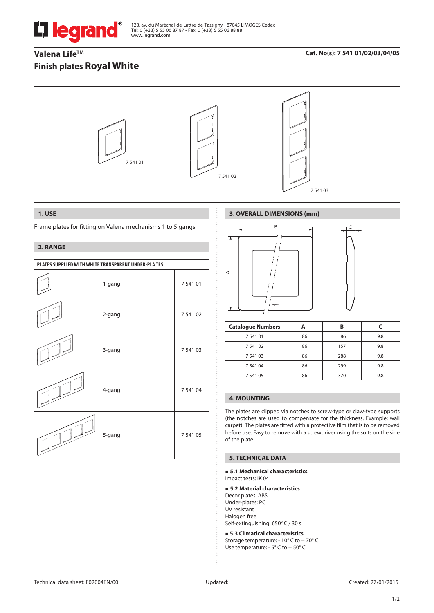

128, av. du Maréchal-de-Lattre-de-Tassigny - 87045 LIMOGES Cedex Tel: 0 (+33) 5 55 06 87 87 - Fax: 0 (+33) 5 55 06 88 88 www.legrand.com

# Valena Life<sup>™</sup> **Finish plates Royal White**

## **Cat. No(s): 7 541 01/02/03/04/05**



### **1. USE**

Frame plates for fitting on Valena mechanisms 1 to 5 gangs.

## **2. RANGE**

| PLATES SUPPLIED WITH WHITE TRANSPARENT UNDER-PLATES |        |          |  |
|-----------------------------------------------------|--------|----------|--|
|                                                     | 1-gang | 7 541 01 |  |
|                                                     | 2-gang | 7 541 02 |  |
|                                                     | 3-gang | 7 541 03 |  |
|                                                     | 4-gang | 7 541 04 |  |
|                                                     | 5-gang | 7 541 05 |  |

# **3. OVERALL DIMENSIONS (mm)**



| <b>Catalogue Numbers</b> |    | в   |     |
|--------------------------|----|-----|-----|
| 7 541 01                 | 86 | 86  | 9.8 |
| 7 541 02                 | 86 | 157 | 9.8 |
| 7 541 03                 | 86 | 288 | 9.8 |
| 7 541 04                 | 86 | 299 | 9.8 |
| 7 541 05                 | 86 | 370 | 9.8 |

# **4. MOUNTING**

The plates are clipped via notches to screw-type or claw-type supports (the notches are used to compensate for the thickness. Example: wall carpet). The plates are fitted with a protective film that is to be removed before use. Easy to remove with a screwdriver using the solts on the side of the plate.

## **5. TECHNICAL DATA**

#### **5.1 Mechanical characteristics** Impact tests: IK 04

### **5.2 Material characteristics**

Decor plates: ABS Under-plates: PC UV resistant Halogen free Self-extinguishing: 650° C / 30 s

 **5.3 Climatical characteristics** Storage temperature: - 10° C to + 70° C Use temperature: - 5° C to + 50° C

Technical data sheet: F02004EN/00 Updated: Created: 27/01/2015